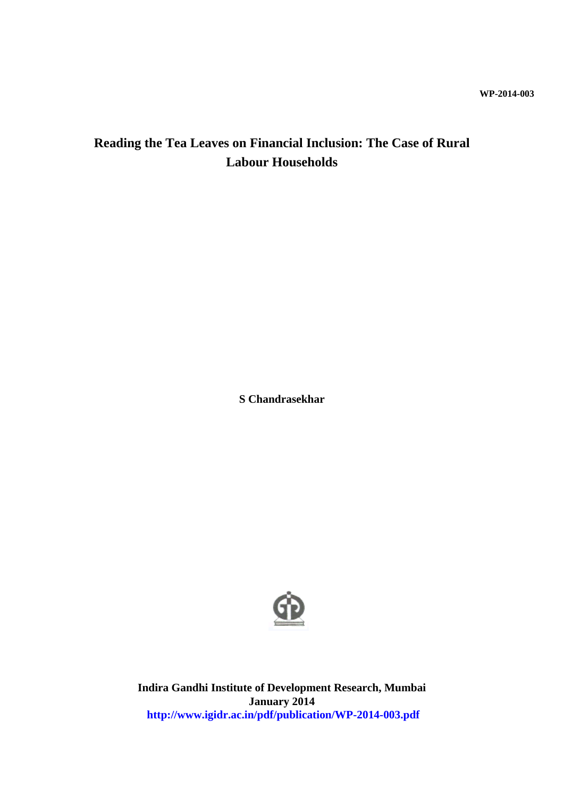# **Reading the Tea Leaves on Financial Inclusion: The Case of Rural Labour Households**

**S Chandrasekhar**



**Indira Gandhi Institute of Development Research, Mumbai January 2014 http://www.igidr.ac.in/pdf/publication/WP-2014-003.pdf**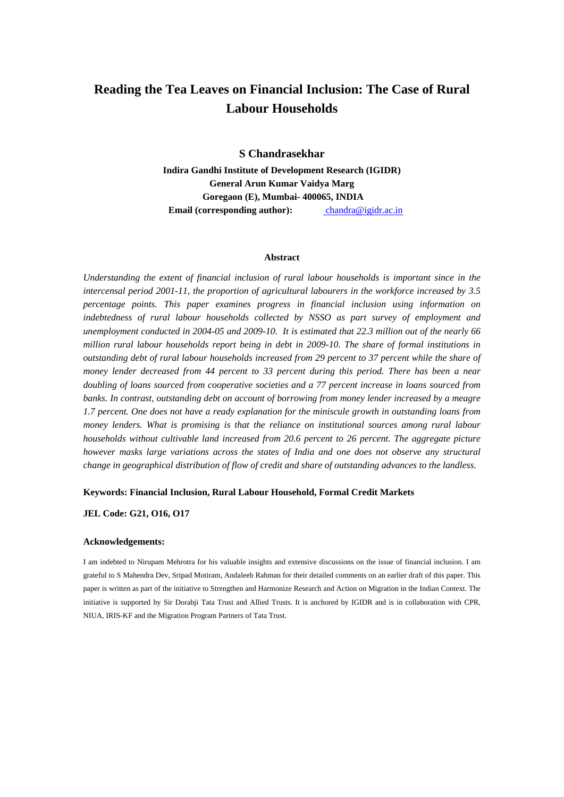# **Reading the Tea Leaves on Financial Inclusion: The Case of Rural Labour Households**

**S Chandrasekhar Indira Gandhi Institute of Development Research (IGIDR) General Arun Kumar Vaidya Marg Goregaon (E), Mumbai- 400065, INDIA Email (corresponding author):** chandra@igidr.ac.in

#### **Abstract**

*Understanding the extent of financial inclusion of rural labour households is important since in the intercensal period 2001-11, the proportion of agricultural labourers in the workforce increased by 3.5 percentage points. This paper examines progress in financial inclusion using information on indebtedness of rural labour households collected by NSSO as part survey of employment and unemployment conducted in 2004-05 and 2009-10. It is estimated that 22.3 million out of the nearly 66 million rural labour households report being in debt in 2009-10. The share of formal institutions in outstanding debt of rural labour households increased from 29 percent to 37 percent while the share of money lender decreased from 44 percent to 33 percent during this period. There has been a near doubling of loans sourced from cooperative societies and a 77 percent increase in loans sourced from banks. In contrast, outstanding debt on account of borrowing from money lender increased by a meagre 1.7 percent. One does not have a ready explanation for the miniscule growth in outstanding loans from money lenders. What is promising is that the reliance on institutional sources among rural labour households without cultivable land increased from 20.6 percent to 26 percent. The aggregate picture however masks large variations across the states of India and one does not observe any structural change in geographical distribution of flow of credit and share of outstanding advances to the landless.* 

### **Keywords: Financial Inclusion, Rural Labour Household, Formal Credit Markets**

## **JEL Code: G21, O16, O17**

#### **Acknowledgements:**

I am indebted to Nirupam Mehrotra for his valuable insights and extensive discussions on the issue of financial inclusion. I am grateful to S Mahendra Dev, Sripad Motiram, Andaleeb Rahman for their detailed comments on an earlier draft of this paper. This paper is written as part of the initiative to Strengthen and Harmonize Research and Action on Migration in the Indian Context. The initiative is supported by Sir Dorabji Tata Trust and Allied Trusts. It is anchored by IGIDR and is in collaboration with CPR, NIUA, IRIS-KF and the Migration Program Partners of Tata Trust.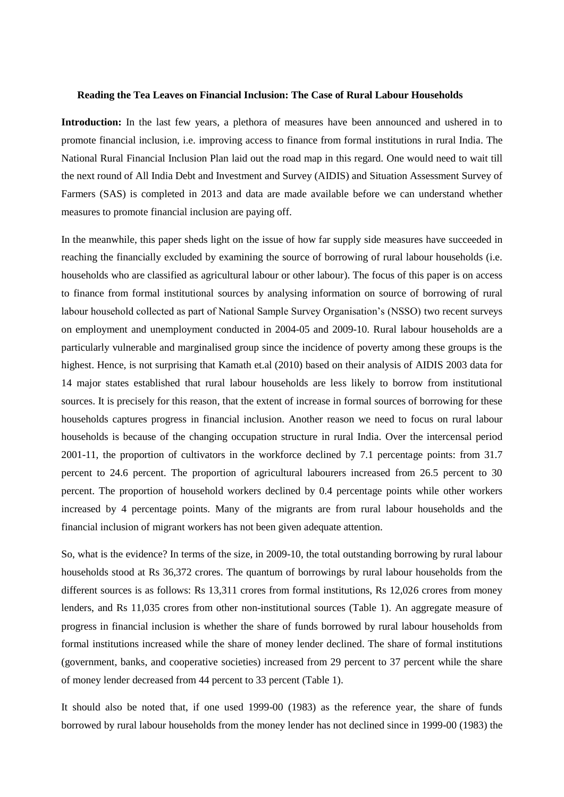#### **Reading the Tea Leaves on Financial Inclusion: The Case of Rural Labour Households**

**Introduction:** In the last few years, a plethora of measures have been announced and ushered in to promote financial inclusion, i.e. improving access to finance from formal institutions in rural India. The National Rural Financial Inclusion Plan laid out the road map in this regard. One would need to wait till the next round of All India Debt and Investment and Survey (AIDIS) and Situation Assessment Survey of Farmers (SAS) is completed in 2013 and data are made available before we can understand whether measures to promote financial inclusion are paying off.

In the meanwhile, this paper sheds light on the issue of how far supply side measures have succeeded in reaching the financially excluded by examining the source of borrowing of rural labour households (i.e. households who are classified as agricultural labour or other labour). The focus of this paper is on access to finance from formal institutional sources by analysing information on source of borrowing of rural labour household collected as part of National Sample Survey Organisation's (NSSO) two recent surveys on employment and unemployment conducted in 2004-05 and 2009-10. Rural labour households are a particularly vulnerable and marginalised group since the incidence of poverty among these groups is the highest. Hence, is not surprising that Kamath et.al (2010) based on their analysis of AIDIS 2003 data for 14 major states established that rural labour households are less likely to borrow from institutional sources. It is precisely for this reason, that the extent of increase in formal sources of borrowing for these households captures progress in financial inclusion. Another reason we need to focus on rural labour households is because of the changing occupation structure in rural India. Over the intercensal period 2001-11, the proportion of cultivators in the workforce declined by 7.1 percentage points: from 31.7 percent to 24.6 percent. The proportion of agricultural labourers increased from 26.5 percent to 30 percent. The proportion of household workers declined by 0.4 percentage points while other workers increased by 4 percentage points. Many of the migrants are from rural labour households and the financial inclusion of migrant workers has not been given adequate attention.

So, what is the evidence? In terms of the size, in 2009-10, the total outstanding borrowing by rural labour households stood at Rs 36,372 crores. The quantum of borrowings by rural labour households from the different sources is as follows: Rs 13,311 crores from formal institutions, Rs 12,026 crores from money lenders, and Rs 11,035 crores from other non-institutional sources (Table 1). An aggregate measure of progress in financial inclusion is whether the share of funds borrowed by rural labour households from formal institutions increased while the share of money lender declined. The share of formal institutions (government, banks, and cooperative societies) increased from 29 percent to 37 percent while the share of money lender decreased from 44 percent to 33 percent (Table 1).

It should also be noted that, if one used 1999-00 (1983) as the reference year, the share of funds borrowed by rural labour households from the money lender has not declined since in 1999-00 (1983) the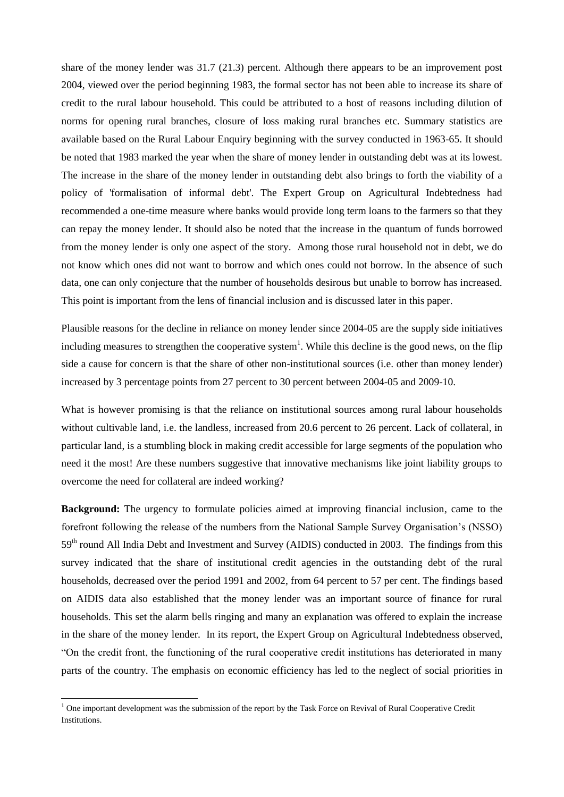share of the money lender was 31.7 (21.3) percent. Although there appears to be an improvement post 2004, viewed over the period beginning 1983, the formal sector has not been able to increase its share of credit to the rural labour household. This could be attributed to a host of reasons including dilution of norms for opening rural branches, closure of loss making rural branches etc. Summary statistics are available based on the Rural Labour Enquiry beginning with the survey conducted in 1963-65. It should be noted that 1983 marked the year when the share of money lender in outstanding debt was at its lowest. The increase in the share of the money lender in outstanding debt also brings to forth the viability of a policy of 'formalisation of informal debt'. The Expert Group on Agricultural Indebtedness had recommended a one-time measure where banks would provide long term loans to the farmers so that they can repay the money lender. It should also be noted that the increase in the quantum of funds borrowed from the money lender is only one aspect of the story. Among those rural household not in debt, we do not know which ones did not want to borrow and which ones could not borrow. In the absence of such data, one can only conjecture that the number of households desirous but unable to borrow has increased. This point is important from the lens of financial inclusion and is discussed later in this paper.

Plausible reasons for the decline in reliance on money lender since 2004-05 are the supply side initiatives including measures to strengthen the cooperative system<sup>1</sup>. While this decline is the good news, on the flip side a cause for concern is that the share of other non-institutional sources (i.e. other than money lender) increased by 3 percentage points from 27 percent to 30 percent between 2004-05 and 2009-10.

What is however promising is that the reliance on institutional sources among rural labour households without cultivable land, i.e. the landless, increased from 20.6 percent to 26 percent. Lack of collateral, in particular land, is a stumbling block in making credit accessible for large segments of the population who need it the most! Are these numbers suggestive that innovative mechanisms like joint liability groups to overcome the need for collateral are indeed working?

**Background:** The urgency to formulate policies aimed at improving financial inclusion, came to the forefront following the release of the numbers from the National Sample Survey Organisation's (NSSO) 59<sup>th</sup> round All India Debt and Investment and Survey (AIDIS) conducted in 2003. The findings from this survey indicated that the share of institutional credit agencies in the outstanding debt of the rural households, decreased over the period 1991 and 2002, from 64 percent to 57 per cent. The findings based on AIDIS data also established that the money lender was an important source of finance for rural households. This set the alarm bells ringing and many an explanation was offered to explain the increase in the share of the money lender. In its report, the Expert Group on Agricultural Indebtedness observed, "On the credit front, the functioning of the rural cooperative credit institutions has deteriorated in many parts of the country. The emphasis on economic efficiency has led to the neglect of social priorities in

 $<sup>1</sup>$  One important development was the submission of the report by the Task Force on Revival of Rural Cooperative Credit</sup> Institutions.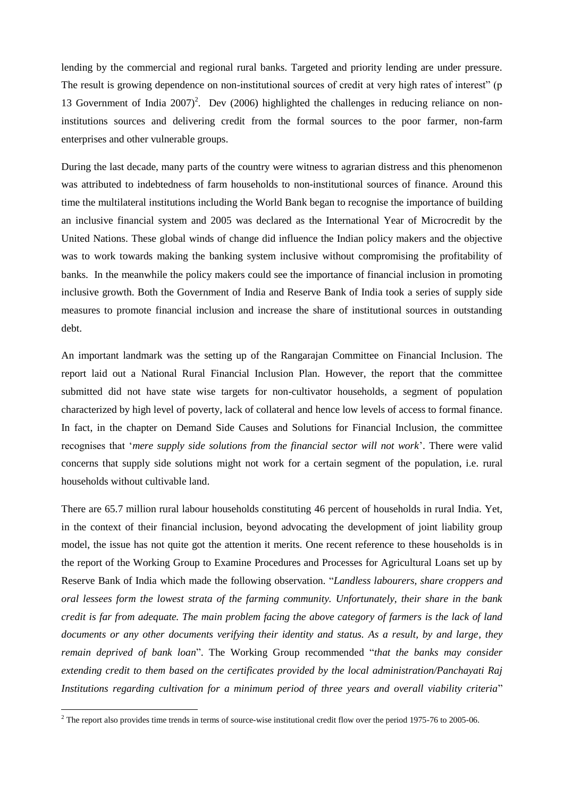lending by the commercial and regional rural banks. Targeted and priority lending are under pressure. The result is growing dependence on non-institutional sources of credit at very high rates of interest" (p 13 Government of India  $2007$ <sup>2</sup>. Dev (2006) highlighted the challenges in reducing reliance on noninstitutions sources and delivering credit from the formal sources to the poor farmer, non-farm enterprises and other vulnerable groups.

During the last decade, many parts of the country were witness to agrarian distress and this phenomenon was attributed to indebtedness of farm households to non-institutional sources of finance. Around this time the multilateral institutions including the World Bank began to recognise the importance of building an inclusive financial system and 2005 was declared as the International Year of Microcredit by the United Nations. These global winds of change did influence the Indian policy makers and the objective was to work towards making the banking system inclusive without compromising the profitability of banks. In the meanwhile the policy makers could see the importance of financial inclusion in promoting inclusive growth. Both the Government of India and Reserve Bank of India took a series of supply side measures to promote financial inclusion and increase the share of institutional sources in outstanding debt.

An important landmark was the setting up of the Rangarajan Committee on Financial Inclusion. The report laid out a National Rural Financial Inclusion Plan. However, the report that the committee submitted did not have state wise targets for non-cultivator households, a segment of population characterized by high level of poverty, lack of collateral and hence low levels of access to formal finance. In fact, in the chapter on Demand Side Causes and Solutions for Financial Inclusion, the committee recognises that '*mere supply side solutions from the financial sector will not work*'. There were valid concerns that supply side solutions might not work for a certain segment of the population, i.e. rural households without cultivable land.

There are 65.7 million rural labour households constituting 46 percent of households in rural India. Yet, in the context of their financial inclusion, beyond advocating the development of joint liability group model, the issue has not quite got the attention it merits. One recent reference to these households is in the report of the Working Group to Examine Procedures and Processes for Agricultural Loans set up by Reserve Bank of India which made the following observation. "*Landless labourers, share croppers and oral lessees form the lowest strata of the farming community. Unfortunately, their share in the bank credit is far from adequate. The main problem facing the above category of farmers is the lack of land documents or any other documents verifying their identity and status. As a result, by and large, they remain deprived of bank loan*". The Working Group recommended "*that the banks may consider extending credit to them based on the certificates provided by the local administration/Panchayati Raj Institutions regarding cultivation for a minimum period of three years and overall viability criteria*"

 $2$  The report also provides time trends in terms of source-wise institutional credit flow over the period 1975-76 to 2005-06.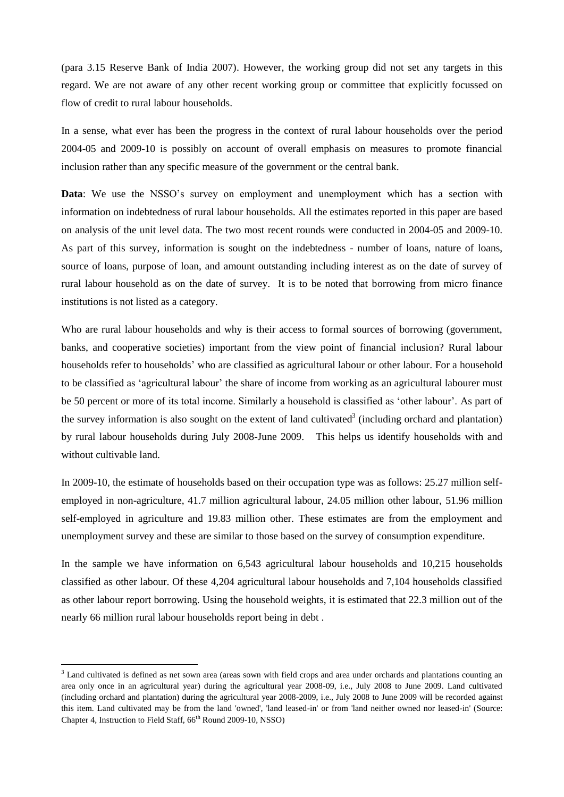(para 3.15 Reserve Bank of India 2007). However, the working group did not set any targets in this regard. We are not aware of any other recent working group or committee that explicitly focussed on flow of credit to rural labour households.

In a sense, what ever has been the progress in the context of rural labour households over the period 2004-05 and 2009-10 is possibly on account of overall emphasis on measures to promote financial inclusion rather than any specific measure of the government or the central bank.

**Data**: We use the NSSO's survey on employment and unemployment which has a section with information on indebtedness of rural labour households. All the estimates reported in this paper are based on analysis of the unit level data. The two most recent rounds were conducted in 2004-05 and 2009-10. As part of this survey, information is sought on the indebtedness - number of loans, nature of loans, source of loans, purpose of loan, and amount outstanding including interest as on the date of survey of rural labour household as on the date of survey. It is to be noted that borrowing from micro finance institutions is not listed as a category.

Who are rural labour households and why is their access to formal sources of borrowing (government, banks, and cooperative societies) important from the view point of financial inclusion? Rural labour households refer to households' who are classified as agricultural labour or other labour. For a household to be classified as 'agricultural labour' the share of income from working as an agricultural labourer must be 50 percent or more of its total income. Similarly a household is classified as 'other labour'. As part of the survey information is also sought on the extent of land cultivated<sup>3</sup> (including orchard and plantation) by rural labour households during July 2008-June 2009. This helps us identify households with and without cultivable land.

In 2009-10, the estimate of households based on their occupation type was as follows: 25.27 million selfemployed in non-agriculture, 41.7 million agricultural labour, 24.05 million other labour, 51.96 million self-employed in agriculture and 19.83 million other. These estimates are from the employment and unemployment survey and these are similar to those based on the survey of consumption expenditure.

In the sample we have information on 6,543 agricultural labour households and 10,215 households classified as other labour. Of these 4,204 agricultural labour households and 7,104 households classified as other labour report borrowing. Using the household weights, it is estimated that 22.3 million out of the nearly 66 million rural labour households report being in debt .

<sup>&</sup>lt;sup>3</sup> Land cultivated is defined as net sown area (areas sown with field crops and area under orchards and plantations counting an area only once in an agricultural year) during the agricultural year 2008-09, i.e., July 2008 to June 2009. Land cultivated (including orchard and plantation) during the agricultural year 2008-2009, i.e., July 2008 to June 2009 will be recorded against this item. Land cultivated may be from the land 'owned', 'land leased-in' or from 'land neither owned nor leased-in' (Source: Chapter 4, Instruction to Field Staff, 66<sup>th</sup> Round 2009-10, NSSO)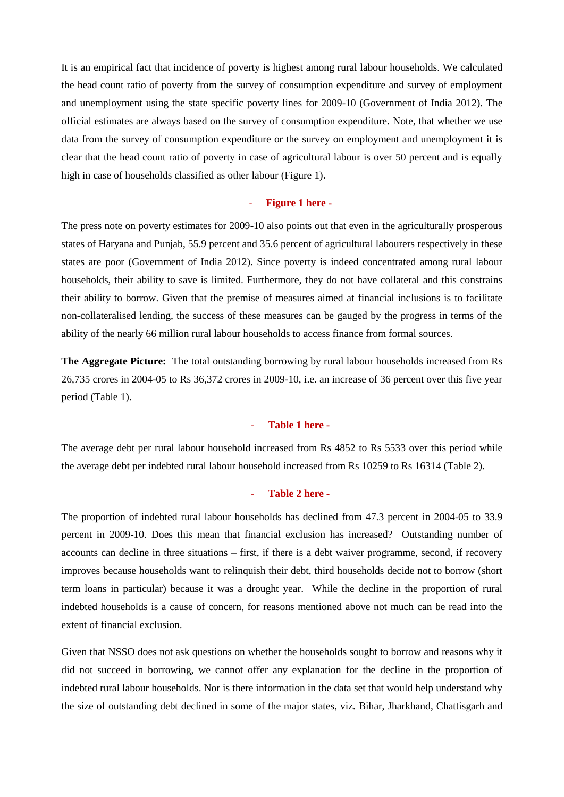It is an empirical fact that incidence of poverty is highest among rural labour households. We calculated the head count ratio of poverty from the survey of consumption expenditure and survey of employment and unemployment using the state specific poverty lines for 2009-10 (Government of India 2012). The official estimates are always based on the survey of consumption expenditure. Note, that whether we use data from the survey of consumption expenditure or the survey on employment and unemployment it is clear that the head count ratio of poverty in case of agricultural labour is over 50 percent and is equally high in case of households classified as other labour (Figure 1).

# - **Figure 1 here -**

The press note on poverty estimates for 2009-10 also points out that even in the agriculturally prosperous states of Haryana and Punjab, 55.9 percent and 35.6 percent of agricultural labourers respectively in these states are poor (Government of India 2012). Since poverty is indeed concentrated among rural labour households, their ability to save is limited. Furthermore, they do not have collateral and this constrains their ability to borrow. Given that the premise of measures aimed at financial inclusions is to facilitate non-collateralised lending, the success of these measures can be gauged by the progress in terms of the ability of the nearly 66 million rural labour households to access finance from formal sources.

**The Aggregate Picture:** The total outstanding borrowing by rural labour households increased from Rs 26,735 crores in 2004-05 to Rs 36,372 crores in 2009-10, i.e. an increase of 36 percent over this five year period (Table 1).

## - **Table 1 here -**

The average debt per rural labour household increased from Rs 4852 to Rs 5533 over this period while the average debt per indebted rural labour household increased from Rs 10259 to Rs 16314 (Table 2).

# - **Table 2 here -**

The proportion of indebted rural labour households has declined from 47.3 percent in 2004-05 to 33.9 percent in 2009-10. Does this mean that financial exclusion has increased? Outstanding number of accounts can decline in three situations – first, if there is a debt waiver programme, second, if recovery improves because households want to relinquish their debt, third households decide not to borrow (short term loans in particular) because it was a drought year. While the decline in the proportion of rural indebted households is a cause of concern, for reasons mentioned above not much can be read into the extent of financial exclusion.

Given that NSSO does not ask questions on whether the households sought to borrow and reasons why it did not succeed in borrowing, we cannot offer any explanation for the decline in the proportion of indebted rural labour households. Nor is there information in the data set that would help understand why the size of outstanding debt declined in some of the major states, viz. Bihar, Jharkhand, Chattisgarh and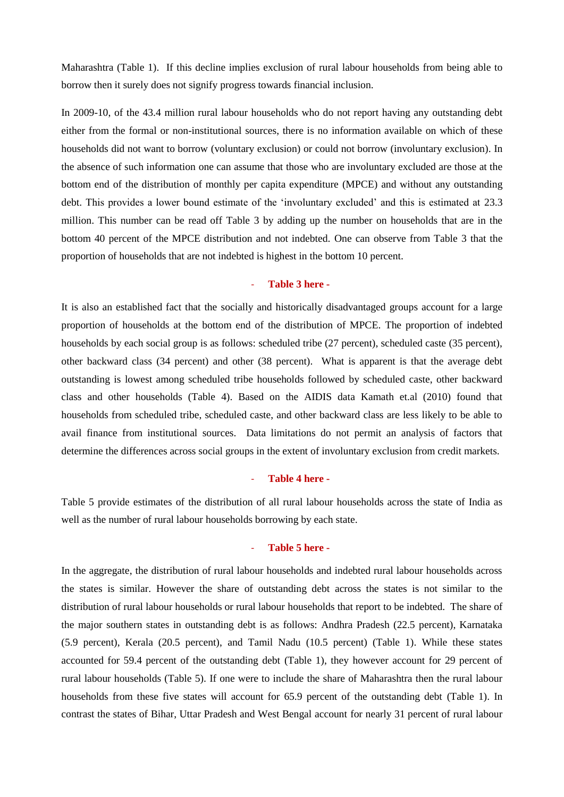Maharashtra (Table 1). If this decline implies exclusion of rural labour households from being able to borrow then it surely does not signify progress towards financial inclusion.

In 2009-10, of the 43.4 million rural labour households who do not report having any outstanding debt either from the formal or non-institutional sources, there is no information available on which of these households did not want to borrow (voluntary exclusion) or could not borrow (involuntary exclusion). In the absence of such information one can assume that those who are involuntary excluded are those at the bottom end of the distribution of monthly per capita expenditure (MPCE) and without any outstanding debt. This provides a lower bound estimate of the 'involuntary excluded' and this is estimated at 23.3 million. This number can be read off Table 3 by adding up the number on households that are in the bottom 40 percent of the MPCE distribution and not indebted. One can observe from Table 3 that the proportion of households that are not indebted is highest in the bottom 10 percent.

# - **Table 3 here -**

It is also an established fact that the socially and historically disadvantaged groups account for a large proportion of households at the bottom end of the distribution of MPCE. The proportion of indebted households by each social group is as follows: scheduled tribe (27 percent), scheduled caste (35 percent), other backward class (34 percent) and other (38 percent). What is apparent is that the average debt outstanding is lowest among scheduled tribe households followed by scheduled caste, other backward class and other households (Table 4). Based on the AIDIS data Kamath et.al (2010) found that households from scheduled tribe, scheduled caste, and other backward class are less likely to be able to avail finance from institutional sources. Data limitations do not permit an analysis of factors that determine the differences across social groups in the extent of involuntary exclusion from credit markets.

#### - **Table 4 here -**

Table 5 provide estimates of the distribution of all rural labour households across the state of India as well as the number of rural labour households borrowing by each state.

### - **Table 5 here -**

In the aggregate, the distribution of rural labour households and indebted rural labour households across the states is similar. However the share of outstanding debt across the states is not similar to the distribution of rural labour households or rural labour households that report to be indebted. The share of the major southern states in outstanding debt is as follows: Andhra Pradesh (22.5 percent), Karnataka (5.9 percent), Kerala (20.5 percent), and Tamil Nadu (10.5 percent) (Table 1). While these states accounted for 59.4 percent of the outstanding debt (Table 1), they however account for 29 percent of rural labour households (Table 5). If one were to include the share of Maharashtra then the rural labour households from these five states will account for 65.9 percent of the outstanding debt (Table 1). In contrast the states of Bihar, Uttar Pradesh and West Bengal account for nearly 31 percent of rural labour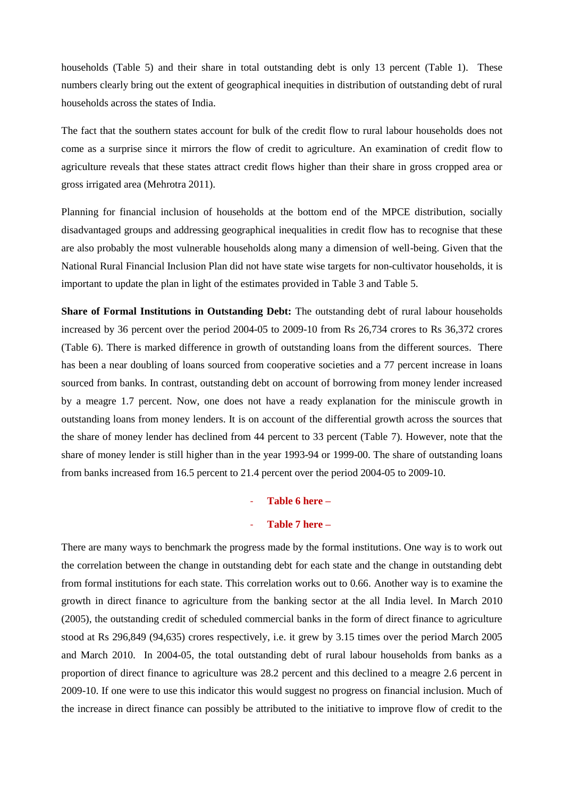households (Table 5) and their share in total outstanding debt is only 13 percent (Table 1). These numbers clearly bring out the extent of geographical inequities in distribution of outstanding debt of rural households across the states of India.

The fact that the southern states account for bulk of the credit flow to rural labour households does not come as a surprise since it mirrors the flow of credit to agriculture. An examination of credit flow to agriculture reveals that these states attract credit flows higher than their share in gross cropped area or gross irrigated area (Mehrotra 2011).

Planning for financial inclusion of households at the bottom end of the MPCE distribution, socially disadvantaged groups and addressing geographical inequalities in credit flow has to recognise that these are also probably the most vulnerable households along many a dimension of well-being. Given that the National Rural Financial Inclusion Plan did not have state wise targets for non-cultivator households, it is important to update the plan in light of the estimates provided in Table 3 and Table 5.

**Share of Formal Institutions in Outstanding Debt:** The outstanding debt of rural labour households increased by 36 percent over the period 2004-05 to 2009-10 from Rs 26,734 crores to Rs 36,372 crores (Table 6). There is marked difference in growth of outstanding loans from the different sources. There has been a near doubling of loans sourced from cooperative societies and a 77 percent increase in loans sourced from banks. In contrast, outstanding debt on account of borrowing from money lender increased by a meagre 1.7 percent. Now, one does not have a ready explanation for the miniscule growth in outstanding loans from money lenders. It is on account of the differential growth across the sources that the share of money lender has declined from 44 percent to 33 percent (Table 7). However, note that the share of money lender is still higher than in the year 1993-94 or 1999-00. The share of outstanding loans from banks increased from 16.5 percent to 21.4 percent over the period 2004-05 to 2009-10.

#### - **Table 6 here –**

# - **Table 7 here –**

There are many ways to benchmark the progress made by the formal institutions. One way is to work out the correlation between the change in outstanding debt for each state and the change in outstanding debt from formal institutions for each state. This correlation works out to 0.66. Another way is to examine the growth in direct finance to agriculture from the banking sector at the all India level. In March 2010 (2005), the outstanding credit of scheduled commercial banks in the form of direct finance to agriculture stood at Rs 296,849 (94,635) crores respectively, i.e. it grew by 3.15 times over the period March 2005 and March 2010. In 2004-05, the total outstanding debt of rural labour households from banks as a proportion of direct finance to agriculture was 28.2 percent and this declined to a meagre 2.6 percent in 2009-10. If one were to use this indicator this would suggest no progress on financial inclusion. Much of the increase in direct finance can possibly be attributed to the initiative to improve flow of credit to the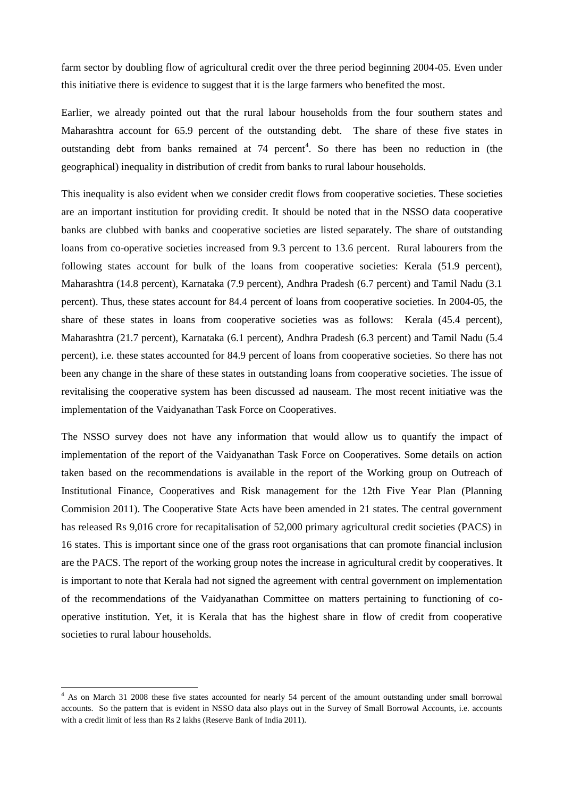farm sector by doubling flow of agricultural credit over the three period beginning 2004-05. Even under this initiative there is evidence to suggest that it is the large farmers who benefited the most.

Earlier, we already pointed out that the rural labour households from the four southern states and Maharashtra account for 65.9 percent of the outstanding debt. The share of these five states in outstanding debt from banks remained at  $74$  percent<sup>4</sup>. So there has been no reduction in (the geographical) inequality in distribution of credit from banks to rural labour households.

This inequality is also evident when we consider credit flows from cooperative societies. These societies are an important institution for providing credit. It should be noted that in the NSSO data cooperative banks are clubbed with banks and cooperative societies are listed separately. The share of outstanding loans from co-operative societies increased from 9.3 percent to 13.6 percent. Rural labourers from the following states account for bulk of the loans from cooperative societies: Kerala (51.9 percent), Maharashtra (14.8 percent), Karnataka (7.9 percent), Andhra Pradesh (6.7 percent) and Tamil Nadu (3.1 percent). Thus, these states account for 84.4 percent of loans from cooperative societies. In 2004-05, the share of these states in loans from cooperative societies was as follows: Kerala (45.4 percent), Maharashtra (21.7 percent), Karnataka (6.1 percent), Andhra Pradesh (6.3 percent) and Tamil Nadu (5.4 percent), i.e. these states accounted for 84.9 percent of loans from cooperative societies. So there has not been any change in the share of these states in outstanding loans from cooperative societies. The issue of revitalising the cooperative system has been discussed ad nauseam. The most recent initiative was the implementation of the Vaidyanathan Task Force on Cooperatives.

The NSSO survey does not have any information that would allow us to quantify the impact of implementation of the report of the Vaidyanathan Task Force on Cooperatives. Some details on action taken based on the recommendations is available in the report of the Working group on Outreach of Institutional Finance, Cooperatives and Risk management for the 12th Five Year Plan (Planning Commision 2011). The Cooperative State Acts have been amended in 21 states. The central government has released Rs 9,016 crore for recapitalisation of 52,000 primary agricultural credit societies (PACS) in 16 states. This is important since one of the grass root organisations that can promote financial inclusion are the PACS. The report of the working group notes the increase in agricultural credit by cooperatives. It is important to note that Kerala had not signed the agreement with central government on implementation of the recommendations of the Vaidyanathan Committee on matters pertaining to functioning of cooperative institution. Yet, it is Kerala that has the highest share in flow of credit from cooperative societies to rural labour households.

<sup>&</sup>lt;sup>4</sup> As on March 31 2008 these five states accounted for nearly 54 percent of the amount outstanding under small borrowal accounts. So the pattern that is evident in NSSO data also plays out in the Survey of Small Borrowal Accounts, i.e. accounts with a credit limit of less than Rs 2 lakhs (Reserve Bank of India 2011).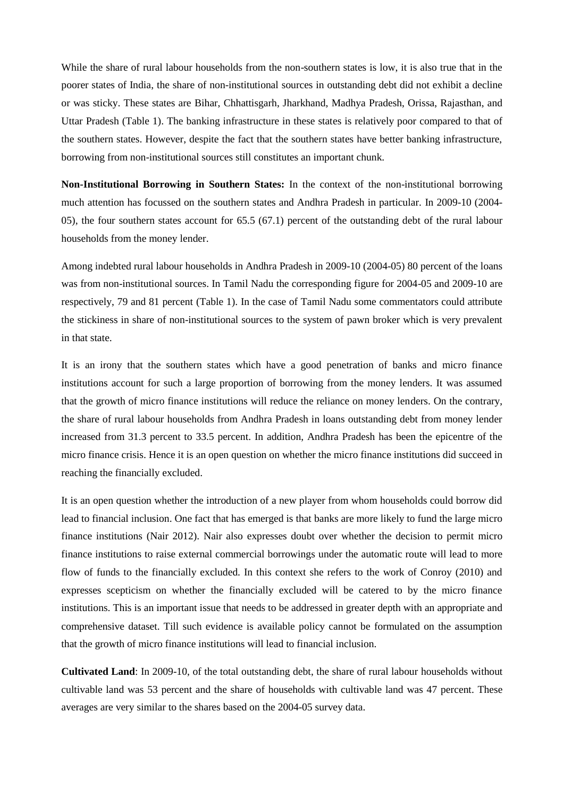While the share of rural labour households from the non-southern states is low, it is also true that in the poorer states of India, the share of non-institutional sources in outstanding debt did not exhibit a decline or was sticky. These states are Bihar, Chhattisgarh, Jharkhand, Madhya Pradesh, Orissa, Rajasthan, and Uttar Pradesh (Table 1). The banking infrastructure in these states is relatively poor compared to that of the southern states. However, despite the fact that the southern states have better banking infrastructure, borrowing from non-institutional sources still constitutes an important chunk.

**Non-Institutional Borrowing in Southern States:** In the context of the non-institutional borrowing much attention has focussed on the southern states and Andhra Pradesh in particular. In 2009-10 (2004- 05), the four southern states account for 65.5 (67.1) percent of the outstanding debt of the rural labour households from the money lender.

Among indebted rural labour households in Andhra Pradesh in 2009-10 (2004-05) 80 percent of the loans was from non-institutional sources. In Tamil Nadu the corresponding figure for 2004-05 and 2009-10 are respectively, 79 and 81 percent (Table 1). In the case of Tamil Nadu some commentators could attribute the stickiness in share of non-institutional sources to the system of pawn broker which is very prevalent in that state.

It is an irony that the southern states which have a good penetration of banks and micro finance institutions account for such a large proportion of borrowing from the money lenders. It was assumed that the growth of micro finance institutions will reduce the reliance on money lenders. On the contrary, the share of rural labour households from Andhra Pradesh in loans outstanding debt from money lender increased from 31.3 percent to 33.5 percent. In addition, Andhra Pradesh has been the epicentre of the micro finance crisis. Hence it is an open question on whether the micro finance institutions did succeed in reaching the financially excluded.

It is an open question whether the introduction of a new player from whom households could borrow did lead to financial inclusion. One fact that has emerged is that banks are more likely to fund the large micro finance institutions (Nair 2012). Nair also expresses doubt over whether the decision to permit micro finance institutions to raise external commercial borrowings under the automatic route will lead to more flow of funds to the financially excluded. In this context she refers to the work of Conroy (2010) and expresses scepticism on whether the financially excluded will be catered to by the micro finance institutions. This is an important issue that needs to be addressed in greater depth with an appropriate and comprehensive dataset. Till such evidence is available policy cannot be formulated on the assumption that the growth of micro finance institutions will lead to financial inclusion.

**Cultivated Land**: In 2009-10, of the total outstanding debt, the share of rural labour households without cultivable land was 53 percent and the share of households with cultivable land was 47 percent. These averages are very similar to the shares based on the 2004-05 survey data.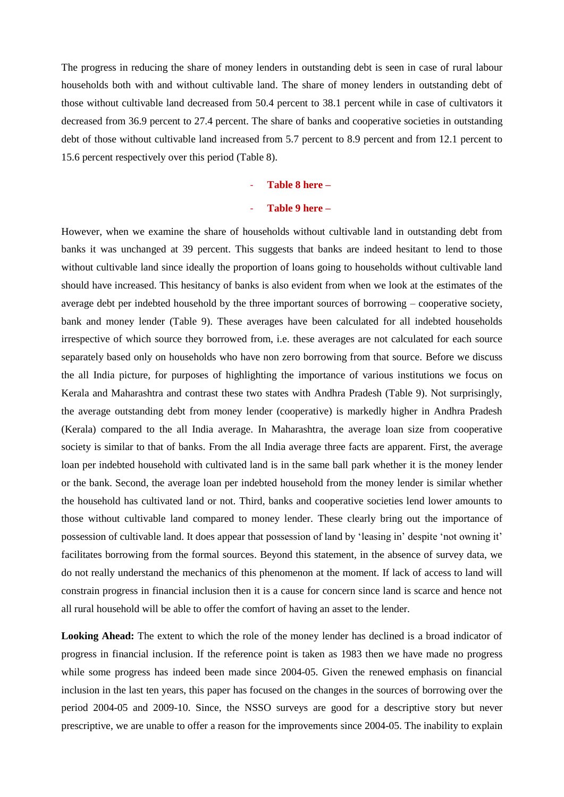The progress in reducing the share of money lenders in outstanding debt is seen in case of rural labour households both with and without cultivable land. The share of money lenders in outstanding debt of those without cultivable land decreased from 50.4 percent to 38.1 percent while in case of cultivators it decreased from 36.9 percent to 27.4 percent. The share of banks and cooperative societies in outstanding debt of those without cultivable land increased from 5.7 percent to 8.9 percent and from 12.1 percent to 15.6 percent respectively over this period (Table 8).

#### - **Table 8 here –**

# - **Table 9 here –**

However, when we examine the share of households without cultivable land in outstanding debt from banks it was unchanged at 39 percent. This suggests that banks are indeed hesitant to lend to those without cultivable land since ideally the proportion of loans going to households without cultivable land should have increased. This hesitancy of banks is also evident from when we look at the estimates of the average debt per indebted household by the three important sources of borrowing – cooperative society, bank and money lender (Table 9). These averages have been calculated for all indebted households irrespective of which source they borrowed from, i.e. these averages are not calculated for each source separately based only on households who have non zero borrowing from that source. Before we discuss the all India picture, for purposes of highlighting the importance of various institutions we focus on Kerala and Maharashtra and contrast these two states with Andhra Pradesh (Table 9). Not surprisingly, the average outstanding debt from money lender (cooperative) is markedly higher in Andhra Pradesh (Kerala) compared to the all India average. In Maharashtra, the average loan size from cooperative society is similar to that of banks. From the all India average three facts are apparent. First, the average loan per indebted household with cultivated land is in the same ball park whether it is the money lender or the bank. Second, the average loan per indebted household from the money lender is similar whether the household has cultivated land or not. Third, banks and cooperative societies lend lower amounts to those without cultivable land compared to money lender. These clearly bring out the importance of possession of cultivable land. It does appear that possession of land by 'leasing in' despite 'not owning it' facilitates borrowing from the formal sources. Beyond this statement, in the absence of survey data, we do not really understand the mechanics of this phenomenon at the moment. If lack of access to land will constrain progress in financial inclusion then it is a cause for concern since land is scarce and hence not all rural household will be able to offer the comfort of having an asset to the lender.

**Looking Ahead:** The extent to which the role of the money lender has declined is a broad indicator of progress in financial inclusion. If the reference point is taken as 1983 then we have made no progress while some progress has indeed been made since 2004-05. Given the renewed emphasis on financial inclusion in the last ten years, this paper has focused on the changes in the sources of borrowing over the period 2004-05 and 2009-10. Since, the NSSO surveys are good for a descriptive story but never prescriptive, we are unable to offer a reason for the improvements since 2004-05. The inability to explain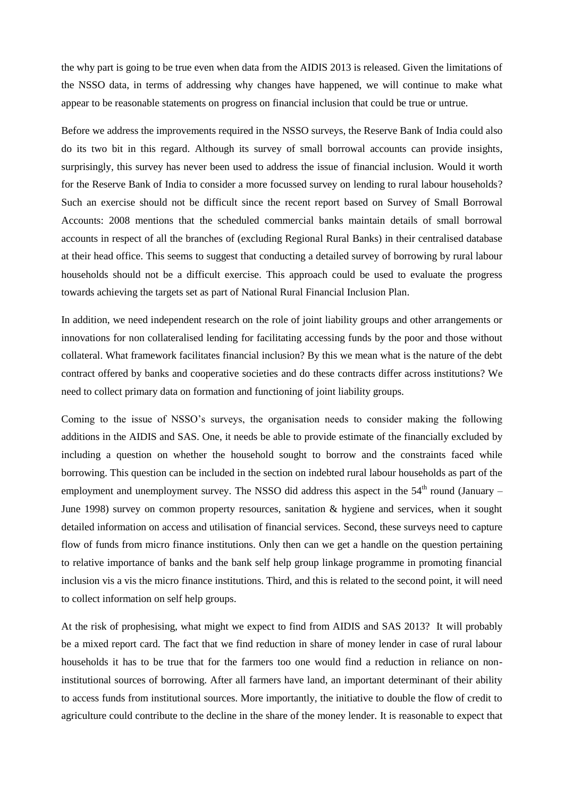the why part is going to be true even when data from the AIDIS 2013 is released. Given the limitations of the NSSO data, in terms of addressing why changes have happened, we will continue to make what appear to be reasonable statements on progress on financial inclusion that could be true or untrue.

Before we address the improvements required in the NSSO surveys, the Reserve Bank of India could also do its two bit in this regard. Although its survey of small borrowal accounts can provide insights, surprisingly, this survey has never been used to address the issue of financial inclusion. Would it worth for the Reserve Bank of India to consider a more focussed survey on lending to rural labour households? Such an exercise should not be difficult since the recent report based on Survey of Small Borrowal Accounts: 2008 mentions that the scheduled commercial banks maintain details of small borrowal accounts in respect of all the branches of (excluding Regional Rural Banks) in their centralised database at their head office. This seems to suggest that conducting a detailed survey of borrowing by rural labour households should not be a difficult exercise. This approach could be used to evaluate the progress towards achieving the targets set as part of National Rural Financial Inclusion Plan.

In addition, we need independent research on the role of joint liability groups and other arrangements or innovations for non collateralised lending for facilitating accessing funds by the poor and those without collateral. What framework facilitates financial inclusion? By this we mean what is the nature of the debt contract offered by banks and cooperative societies and do these contracts differ across institutions? We need to collect primary data on formation and functioning of joint liability groups.

Coming to the issue of NSSO's surveys, the organisation needs to consider making the following additions in the AIDIS and SAS. One, it needs be able to provide estimate of the financially excluded by including a question on whether the household sought to borrow and the constraints faced while borrowing. This question can be included in the section on indebted rural labour households as part of the employment and unemployment survey. The NSSO did address this aspect in the  $54<sup>th</sup>$  round (January – June 1998) survey on common property resources, sanitation & hygiene and services, when it sought detailed information on access and utilisation of financial services. Second, these surveys need to capture flow of funds from micro finance institutions. Only then can we get a handle on the question pertaining to relative importance of banks and the bank self help group linkage programme in promoting financial inclusion vis a vis the micro finance institutions. Third, and this is related to the second point, it will need to collect information on self help groups.

At the risk of prophesising, what might we expect to find from AIDIS and SAS 2013? It will probably be a mixed report card. The fact that we find reduction in share of money lender in case of rural labour households it has to be true that for the farmers too one would find a reduction in reliance on noninstitutional sources of borrowing. After all farmers have land, an important determinant of their ability to access funds from institutional sources. More importantly, the initiative to double the flow of credit to agriculture could contribute to the decline in the share of the money lender. It is reasonable to expect that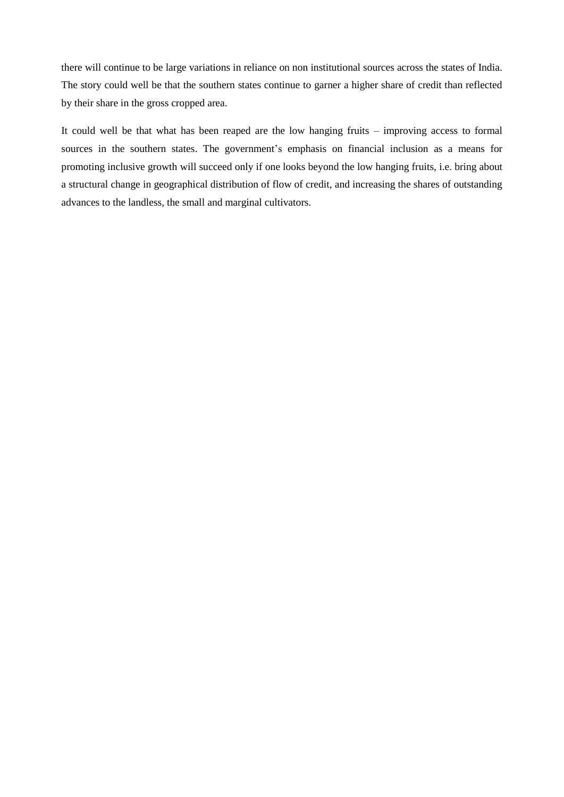there will continue to be large variations in reliance on non institutional sources across the states of India. The story could well be that the southern states continue to garner a higher share of credit than reflected by their share in the gross cropped area.

It could well be that what has been reaped are the low hanging fruits – improving access to formal sources in the southern states. The government's emphasis on financial inclusion as a means for promoting inclusive growth will succeed only if one looks beyond the low hanging fruits, i.e. bring about a structural change in geographical distribution of flow of credit, and increasing the shares of outstanding advances to the landless, the small and marginal cultivators.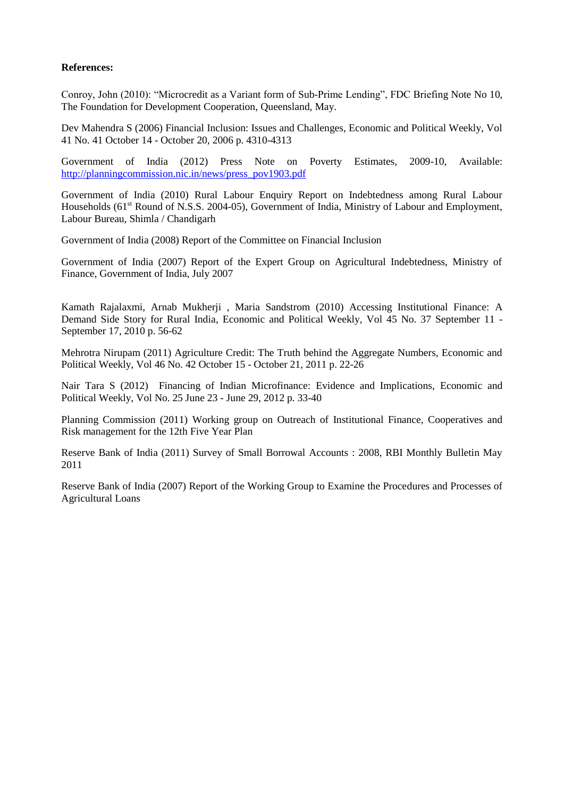# **References:**

Conroy, John (2010): "Microcredit as a Variant form of Sub-Prime Lending", FDC Briefing Note No 10, The Foundation for Development Cooperation, Queensland, May.

Dev Mahendra S (2006) Financial Inclusion: Issues and Challenges, Economic and Political Weekly, Vol 41 No. 41 October 14 - October 20, 2006 p. 4310-4313

Government of India (2012) Press Note on Poverty Estimates, 2009-10, Available: [http://planningcommission.nic.in/news/press\\_pov1903.pdf](http://planningcommission.nic.in/news/press_pov1903.pdf)

Government of India (2010) Rural Labour Enquiry Report on Indebtedness among Rural Labour Households (61<sup>st</sup> Round of N.S.S. 2004-05), Government of India, Ministry of Labour and Employment, Labour Bureau, Shimla / Chandigarh

Government of India (2008) Report of the Committee on Financial Inclusion

Government of India (2007) Report of the Expert Group on Agricultural Indebtedness, Ministry of Finance, Government of India, July 2007

Kamath Rajalaxmi, Arnab Mukherji , Maria Sandstrom (2010) Accessing Institutional Finance: A Demand Side Story for Rural India, Economic and Political Weekly, Vol 45 No. 37 September 11 - September 17, 2010 p. 56-62

Mehrotra Nirupam (2011) Agriculture Credit: The Truth behind the Aggregate Numbers, Economic and Political Weekly, Vol 46 No. 42 October 15 - October 21, 2011 p. 22-26

Nair Tara S (2012) Financing of Indian Microfinance: Evidence and Implications, Economic and Political Weekly, Vol No. 25 June 23 - June 29, 2012 p. 33-40

Planning Commission (2011) Working group on Outreach of Institutional Finance, Cooperatives and Risk management for the 12th Five Year Plan

Reserve Bank of India (2011) Survey of Small Borrowal Accounts : 2008, RBI Monthly Bulletin May 2011

Reserve Bank of India (2007) Report of the Working Group to Examine the Procedures and Processes of Agricultural Loans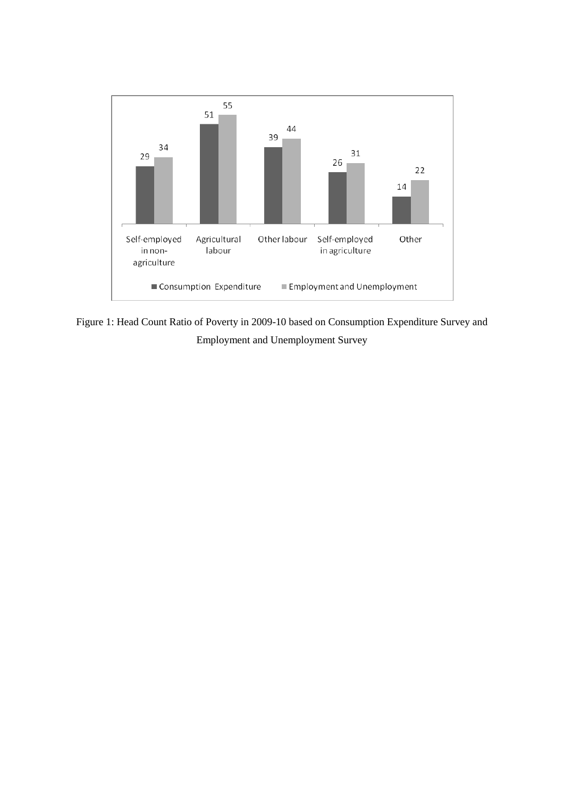

Figure 1: Head Count Ratio of Poverty in 2009-10 based on Consumption Expenditure Survey and Employment and Unemployment Survey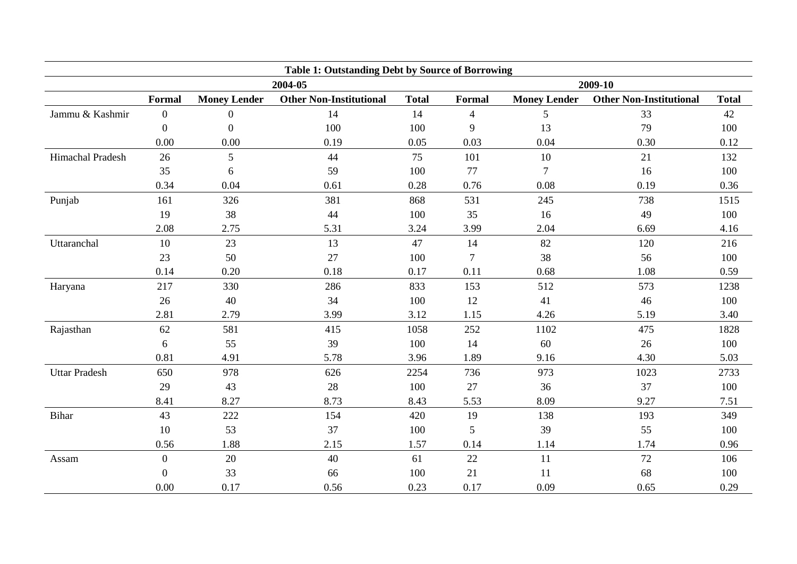| <b>Table 1: Outstanding Debt by Source of Borrowing</b> |                  |                     |                                |              |                  |                     |                                |              |
|---------------------------------------------------------|------------------|---------------------|--------------------------------|--------------|------------------|---------------------|--------------------------------|--------------|
|                                                         |                  |                     | 2004-05                        |              | 2009-10          |                     |                                |              |
|                                                         | Formal           | <b>Money Lender</b> | <b>Other Non-Institutional</b> | <b>Total</b> | Formal           | <b>Money Lender</b> | <b>Other Non-Institutional</b> | <b>Total</b> |
| Jammu & Kashmir                                         | $\boldsymbol{0}$ | $\overline{0}$      | 14                             | 14           | $\overline{4}$   | 5                   | 33                             | 42           |
|                                                         | $\theta$         | $\Omega$            | 100                            | 100          | 9                | 13                  | 79                             | 100          |
|                                                         | 0.00             | 0.00                | 0.19                           | 0.05         | 0.03             | 0.04                | 0.30                           | 0.12         |
| Himachal Pradesh                                        | 26               | 5                   | 44                             | 75           | 101              | 10                  | 21                             | 132          |
|                                                         | 35               | 6                   | 59                             | 100          | 77               | 7                   | 16                             | 100          |
|                                                         | 0.34             | 0.04                | 0.61                           | 0.28         | 0.76             | 0.08                | 0.19                           | 0.36         |
| Punjab                                                  | 161              | 326                 | 381                            | 868          | 531              | 245                 | 738                            | 1515         |
|                                                         | 19               | 38                  | 44                             | 100          | 35               | 16                  | 49                             | 100          |
|                                                         | 2.08             | 2.75                | 5.31                           | 3.24         | 3.99             | 2.04                | 6.69                           | 4.16         |
| Uttaranchal                                             | 10               | 23                  | 13                             | 47           | 14               | 82                  | 120                            | 216          |
|                                                         | 23               | 50                  | 27                             | 100          | $\boldsymbol{7}$ | 38                  | 56                             | 100          |
|                                                         | 0.14             | 0.20                | 0.18                           | 0.17         | 0.11             | 0.68                | 1.08                           | 0.59         |
| Haryana                                                 | 217              | 330                 | 286                            | 833          | 153              | 512                 | 573                            | 1238         |
|                                                         | 26               | 40                  | 34                             | 100          | 12               | 41                  | 46                             | 100          |
|                                                         | 2.81             | 2.79                | 3.99                           | 3.12         | 1.15             | 4.26                | 5.19                           | 3.40         |
| Rajasthan                                               | 62               | 581                 | 415                            | 1058         | 252              | 1102                | 475                            | 1828         |
|                                                         | 6                | 55                  | 39                             | 100          | 14               | 60                  | 26                             | 100          |
|                                                         | 0.81             | 4.91                | 5.78                           | 3.96         | 1.89             | 9.16                | 4.30                           | 5.03         |
| <b>Uttar Pradesh</b>                                    | 650              | 978                 | 626                            | 2254         | 736              | 973                 | 1023                           | 2733         |
|                                                         | 29               | 43                  | 28                             | 100          | 27               | 36                  | 37                             | 100          |
|                                                         | 8.41             | 8.27                | 8.73                           | 8.43         | 5.53             | 8.09                | 9.27                           | 7.51         |
| Bihar                                                   | 43               | 222                 | 154                            | 420          | 19               | 138                 | 193                            | 349          |
|                                                         | 10               | 53                  | 37                             | 100          | 5                | 39                  | 55                             | 100          |
|                                                         | 0.56             | 1.88                | 2.15                           | 1.57         | 0.14             | 1.14                | 1.74                           | 0.96         |
| Assam                                                   | $\boldsymbol{0}$ | 20                  | 40                             | 61           | 22               | 11                  | 72                             | 106          |
|                                                         | $\theta$         | 33                  | 66                             | 100          | 21               | 11                  | 68                             | 100          |
|                                                         | 0.00             | 0.17                | 0.56                           | 0.23         | 0.17             | 0.09                | 0.65                           | 0.29         |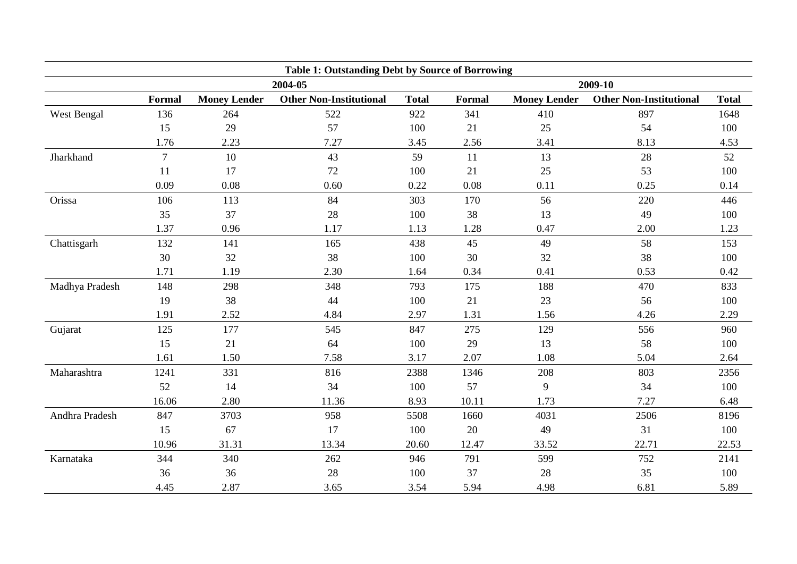| <b>Table 1: Outstanding Debt by Source of Borrowing</b> |                |                     |                                |              |               |                     |                                |              |  |
|---------------------------------------------------------|----------------|---------------------|--------------------------------|--------------|---------------|---------------------|--------------------------------|--------------|--|
|                                                         |                |                     | 2004-05                        |              |               | 2009-10             |                                |              |  |
|                                                         | Formal         | <b>Money Lender</b> | <b>Other Non-Institutional</b> | <b>Total</b> | <b>Formal</b> | <b>Money Lender</b> | <b>Other Non-Institutional</b> | <b>Total</b> |  |
| West Bengal                                             | 136            | 264                 | 522                            | 922          | 341           | 410                 | 897                            | 1648         |  |
|                                                         | 15             | 29                  | 57                             | 100          | 21            | 25                  | 54                             | 100          |  |
|                                                         | 1.76           | 2.23                | 7.27                           | 3.45         | 2.56          | 3.41                | 8.13                           | 4.53         |  |
| Jharkhand                                               | $\overline{7}$ | 10                  | 43                             | 59           | 11            | 13                  | 28                             | 52           |  |
|                                                         | 11             | 17                  | 72                             | 100          | 21            | 25                  | 53                             | 100          |  |
|                                                         | 0.09           | 0.08                | 0.60                           | 0.22         | 0.08          | 0.11                | 0.25                           | 0.14         |  |
| Orissa                                                  | 106            | 113                 | 84                             | 303          | 170           | 56                  | 220                            | 446          |  |
|                                                         | 35             | 37                  | 28                             | 100          | 38            | 13                  | 49                             | 100          |  |
|                                                         | 1.37           | 0.96                | 1.17                           | 1.13         | 1.28          | 0.47                | 2.00                           | 1.23         |  |
| Chattisgarh                                             | 132            | 141                 | 165                            | 438          | 45            | 49                  | 58                             | 153          |  |
|                                                         | 30             | 32                  | 38                             | 100          | 30            | 32                  | 38                             | 100          |  |
|                                                         | 1.71           | 1.19                | 2.30                           | 1.64         | 0.34          | 0.41                | 0.53                           | 0.42         |  |
| Madhya Pradesh                                          | 148            | 298                 | 348                            | 793          | 175           | 188                 | 470                            | 833          |  |
|                                                         | 19             | 38                  | 44                             | 100          | 21            | 23                  | 56                             | 100          |  |
|                                                         | 1.91           | 2.52                | 4.84                           | 2.97         | 1.31          | 1.56                | 4.26                           | 2.29         |  |
| Gujarat                                                 | 125            | 177                 | 545                            | 847          | 275           | 129                 | 556                            | 960          |  |
|                                                         | 15             | 21                  | 64                             | 100          | 29            | 13                  | 58                             | 100          |  |
|                                                         | 1.61           | 1.50                | 7.58                           | 3.17         | 2.07          | 1.08                | 5.04                           | 2.64         |  |
| Maharashtra                                             | 1241           | 331                 | 816                            | 2388         | 1346          | 208                 | 803                            | 2356         |  |
|                                                         | 52             | 14                  | 34                             | 100          | 57            | 9                   | 34                             | 100          |  |
|                                                         | 16.06          | 2.80                | 11.36                          | 8.93         | 10.11         | 1.73                | 7.27                           | 6.48         |  |
| Andhra Pradesh                                          | 847            | 3703                | 958                            | 5508         | 1660          | 4031                | 2506                           | 8196         |  |
|                                                         | 15             | 67                  | 17                             | 100          | 20            | 49                  | 31                             | 100          |  |
|                                                         | 10.96          | 31.31               | 13.34                          | 20.60        | 12.47         | 33.52               | 22.71                          | 22.53        |  |
| Karnataka                                               | 344            | 340                 | 262                            | 946          | 791           | 599                 | 752                            | 2141         |  |
|                                                         | 36             | 36                  | 28                             | 100          | 37            | 28                  | 35                             | 100          |  |
|                                                         | 4.45           | 2.87                | 3.65                           | 3.54         | 5.94          | 4.98                | 6.81                           | 5.89         |  |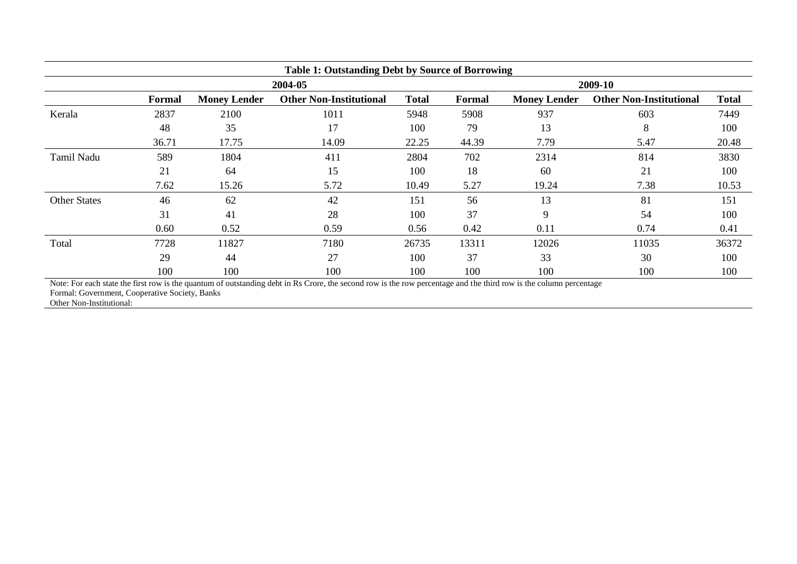| <b>Table 1: Outstanding Debt by Source of Borrowing</b> |        |                     |                                |              |               |                     |                                |              |  |
|---------------------------------------------------------|--------|---------------------|--------------------------------|--------------|---------------|---------------------|--------------------------------|--------------|--|
|                                                         |        |                     | 2004-05                        |              | 2009-10       |                     |                                |              |  |
|                                                         | Formal | <b>Money Lender</b> | <b>Other Non-Institutional</b> | <b>Total</b> | <b>Formal</b> | <b>Money Lender</b> | <b>Other Non-Institutional</b> | <b>Total</b> |  |
| Kerala                                                  | 2837   | 2100                | 1011                           | 5948         | 5908          | 937                 | 603                            | 7449         |  |
|                                                         | 48     | 35                  | 17                             | 100          | 79            | 13                  | 8                              | 100          |  |
|                                                         | 36.71  | 17.75               | 14.09                          | 22.25        | 44.39         | 7.79                | 5.47                           | 20.48        |  |
| <b>Tamil Nadu</b>                                       | 589    | 1804                | 411                            | 2804         | 702           | 2314                | 814                            | 3830         |  |
|                                                         | 21     | 64                  | 15                             | 100          | 18            | 60                  | 21                             | 100          |  |
|                                                         | 7.62   | 15.26               | 5.72                           | 10.49        | 5.27          | 19.24               | 7.38                           | 10.53        |  |
| <b>Other States</b>                                     | 46     | 62                  | 42                             | 151          | 56            | 13                  | 81                             | 151          |  |
|                                                         | 31     | 41                  | 28                             | 100          | 37            | 9                   | 54                             | 100          |  |
|                                                         | 0.60   | 0.52                | 0.59                           | 0.56         | 0.42          | 0.11                | 0.74                           | 0.41         |  |
| Total                                                   | 7728   | 11827               | 7180                           | 26735        | 13311         | 12026               | 11035                          | 36372        |  |
|                                                         | 29     | 44                  | 27                             | 100          | 37            | 33                  | 30                             | 100          |  |
|                                                         | 100    | 100                 | 100                            | 100          | 100           | 100                 | 100                            | 100          |  |

Note: For each state the first row is the quantum of outstanding debt in Rs Crore, the second row is the row percentage and the third row is the column percentage

Formal: Government, Cooperative Society, Banks

Other Non-Institutional: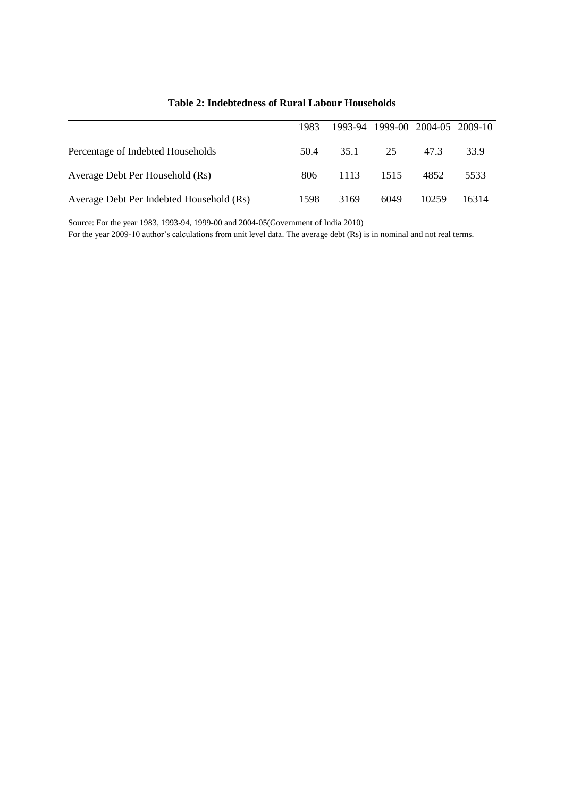|                                          | 1983 |      |      | 1993-94 1999-00 2004-05 2009-10 |       |
|------------------------------------------|------|------|------|---------------------------------|-------|
| Percentage of Indebted Households        | 50.4 | 35.1 | 25   | 47.3                            | 33.9  |
| Average Debt Per Household (Rs)          | 806  | 1113 | 1515 | 4852                            | 5533  |
| Average Debt Per Indebted Household (Rs) | 1598 | 3169 | 6049 | 10259                           | 16314 |

# **Table 2: Indebtedness of Rural Labour Households**

Source: For the year 1983, 1993-94, 1999-00 and 2004-05(Government of India 2010) For the year 2009-10 author's calculations from unit level data. The average debt (Rs) is in nominal and not real terms.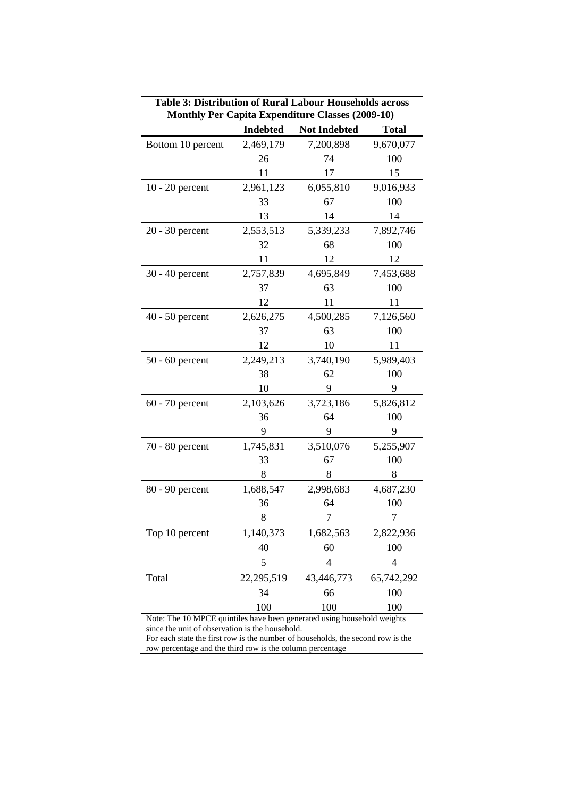|                   | <b>Indebted</b> | <b>Not Indebted</b> | <b>Total</b>   |
|-------------------|-----------------|---------------------|----------------|
| Bottom 10 percent | 2,469,179       | 7,200,898           | 9,670,077      |
|                   | 26              | 74                  | 100            |
|                   | 11              | 17                  | 15             |
| $10 - 20$ percent | 2,961,123       | 6,055,810           | 9,016,933      |
|                   | 33              | 67                  | 100            |
|                   | 13              | 14                  | 14             |
| 20 - 30 percent   | 2,553,513       | 5,339,233           | 7,892,746      |
|                   | 32              | 68                  | 100            |
|                   | 11              | 12                  | 12             |
| 30 - 40 percent   | 2,757,839       | 4,695,849           | 7,453,688      |
|                   | 37              | 63                  | 100            |
|                   | 12              | 11                  | 11             |
| $40 - 50$ percent | 2,626,275       | 4,500,285           | 7,126,560      |
|                   | 37              | 63                  | 100            |
|                   | 12              | 10                  | 11             |
| $50 - 60$ percent | 2,249,213       | 3,740,190           | 5,989,403      |
|                   | 38              | 62                  | 100            |
|                   | 10              | 9                   | 9              |
| $60 - 70$ percent | 2,103,626       | 3,723,186           | 5,826,812      |
|                   | 36              | 64                  | 100            |
|                   | 9               | 9                   | 9              |
| 70 - 80 percent   | 1,745,831       | 3,510,076           | 5,255,907      |
|                   | 33              | 67                  | 100            |
|                   | 8               | 8                   | 8              |
| 80 - 90 percent   | 1,688,547       | 2,998,683           | 4,687,230      |
|                   | 36              | 64                  | 100            |
|                   | 8               | 7                   | 7              |
| Top 10 percent    | 1,140,373       | 1,682,563           | 2,822,936      |
|                   | 40              | 60                  | 100            |
|                   | 5               | $\overline{4}$      | $\overline{4}$ |
| Total             | 22,295,519      | 43,446,773          | 65,742,292     |
|                   | 34              | 66                  | 100            |
|                   | 100             | 100                 | 100            |

**Table 3: Distribution of Rural Labour Households across Monthly Per Capita Expenditure Classes (2009-10)**

Note: The 10 MPCE quintiles have been generated using household weights since the unit of observation is the household.

For each state the first row is the number of households, the second row is the row percentage and the third row is the column percentage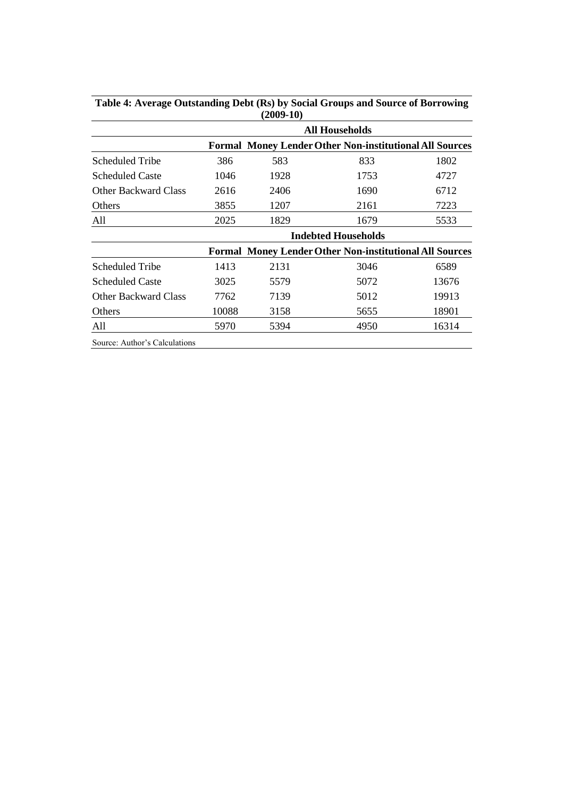|                             |       | (2009-10)             |                                                                |       |  |  |  |  |
|-----------------------------|-------|-----------------------|----------------------------------------------------------------|-------|--|--|--|--|
|                             |       | <b>All Households</b> |                                                                |       |  |  |  |  |
|                             |       |                       | <b>Formal Money Lender Other Non-institutional All Sources</b> |       |  |  |  |  |
| Scheduled Tribe             | 386   | 583                   | 833                                                            | 1802  |  |  |  |  |
| <b>Scheduled Caste</b>      | 1046  | 1928                  | 1753                                                           | 4727  |  |  |  |  |
| <b>Other Backward Class</b> | 2616  | 2406                  | 1690                                                           | 6712  |  |  |  |  |
| Others                      | 3855  | 1207                  | 2161                                                           | 7223  |  |  |  |  |
| All                         | 2025  | 1829                  | 1679                                                           | 5533  |  |  |  |  |
|                             |       |                       | <b>Indebted Households</b>                                     |       |  |  |  |  |
|                             |       |                       | <b>Formal Money Lender Other Non-institutional All Sources</b> |       |  |  |  |  |
| Scheduled Tribe             | 1413  | 2131                  | 3046                                                           | 6589  |  |  |  |  |
| <b>Scheduled Caste</b>      | 3025  | 5579                  | 5072                                                           | 13676 |  |  |  |  |
| <b>Other Backward Class</b> | 7762  | 7139                  | 5012                                                           | 19913 |  |  |  |  |
| Others                      | 10088 | 3158                  | 5655                                                           | 18901 |  |  |  |  |
| All                         | 5970  | 5394                  | 4950                                                           | 16314 |  |  |  |  |
|                             |       |                       |                                                                |       |  |  |  |  |

**Table 4: Average Outstanding Debt (Rs) by Social Groups and Source of Borrowing (2009-10)**

Source: Author's Calculations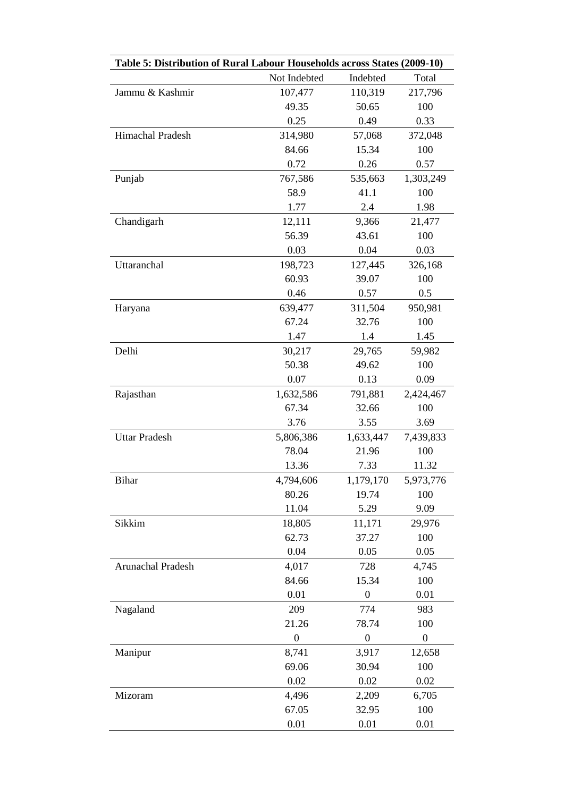| Table 5: Distribution of Rural Labour Households across States (2009-10) |                  |                  |                  |  |  |  |  |
|--------------------------------------------------------------------------|------------------|------------------|------------------|--|--|--|--|
|                                                                          | Not Indebted     | Indebted         | Total            |  |  |  |  |
| Jammu & Kashmir                                                          | 107,477          | 110,319          | 217,796          |  |  |  |  |
|                                                                          | 49.35            | 50.65            | 100              |  |  |  |  |
|                                                                          | 0.25             | 0.49             | 0.33             |  |  |  |  |
| Himachal Pradesh                                                         | 314,980          | 57,068           | 372,048          |  |  |  |  |
|                                                                          | 84.66            | 15.34            | 100              |  |  |  |  |
|                                                                          | 0.72             | 0.26             | 0.57             |  |  |  |  |
| Punjab                                                                   | 767,586          | 535,663          | 1,303,249        |  |  |  |  |
|                                                                          | 58.9             | 41.1             | 100              |  |  |  |  |
|                                                                          | 1.77             | 2.4              | 1.98             |  |  |  |  |
| Chandigarh                                                               | 12,111           | 9,366            | 21,477           |  |  |  |  |
|                                                                          | 56.39            | 43.61            | 100              |  |  |  |  |
|                                                                          | 0.03             | 0.04             | 0.03             |  |  |  |  |
| Uttaranchal                                                              | 198,723          | 127,445          | 326,168          |  |  |  |  |
|                                                                          | 60.93            | 39.07            | 100              |  |  |  |  |
|                                                                          | 0.46             | 0.57             | 0.5              |  |  |  |  |
| Haryana                                                                  | 639,477          | 311,504          | 950,981          |  |  |  |  |
|                                                                          | 67.24            | 32.76            | 100              |  |  |  |  |
|                                                                          | 1.47             | 1.4              | 1.45             |  |  |  |  |
| Delhi                                                                    | 30,217           | 29,765           | 59,982           |  |  |  |  |
|                                                                          | 50.38            | 49.62            | 100              |  |  |  |  |
|                                                                          | 0.07             | 0.13             | 0.09             |  |  |  |  |
| Rajasthan                                                                | 1,632,586        | 791,881          | 2,424,467        |  |  |  |  |
|                                                                          | 67.34            | 32.66            | 100              |  |  |  |  |
|                                                                          | 3.76             | 3.55             | 3.69             |  |  |  |  |
| <b>Uttar Pradesh</b>                                                     | 5,806,386        | 1,633,447        | 7,439,833        |  |  |  |  |
|                                                                          | 78.04            | 21.96            | 100              |  |  |  |  |
|                                                                          | 13.36            | 7.33             | 11.32            |  |  |  |  |
| Bihar                                                                    | 4,794,606        | 1,179,170        | 5,973,776        |  |  |  |  |
|                                                                          | 80.26            | 19.74            | 100              |  |  |  |  |
|                                                                          | 11.04            | 5.29             | 9.09             |  |  |  |  |
| Sikkim                                                                   | 18,805           | 11,171           | 29,976           |  |  |  |  |
|                                                                          | 62.73            | 37.27            | 100              |  |  |  |  |
|                                                                          | 0.04             | 0.05             | 0.05             |  |  |  |  |
| Arunachal Pradesh                                                        | 4,017            | 728              | 4,745            |  |  |  |  |
|                                                                          | 84.66            | 15.34            | 100              |  |  |  |  |
|                                                                          | 0.01             | $\boldsymbol{0}$ | 0.01             |  |  |  |  |
| Nagaland                                                                 | 209              | 774              | 983              |  |  |  |  |
|                                                                          | 21.26            | 78.74            | 100              |  |  |  |  |
|                                                                          | $\boldsymbol{0}$ | $\boldsymbol{0}$ | $\boldsymbol{0}$ |  |  |  |  |
| Manipur                                                                  | 8,741            | 3,917            | 12,658           |  |  |  |  |
|                                                                          | 69.06            | 30.94            | 100              |  |  |  |  |
|                                                                          | 0.02             | 0.02             | 0.02             |  |  |  |  |
| Mizoram                                                                  | 4,496            | 2,209            | 6,705            |  |  |  |  |
|                                                                          | 67.05            | 32.95            | 100              |  |  |  |  |
|                                                                          | 0.01             | 0.01             | 0.01             |  |  |  |  |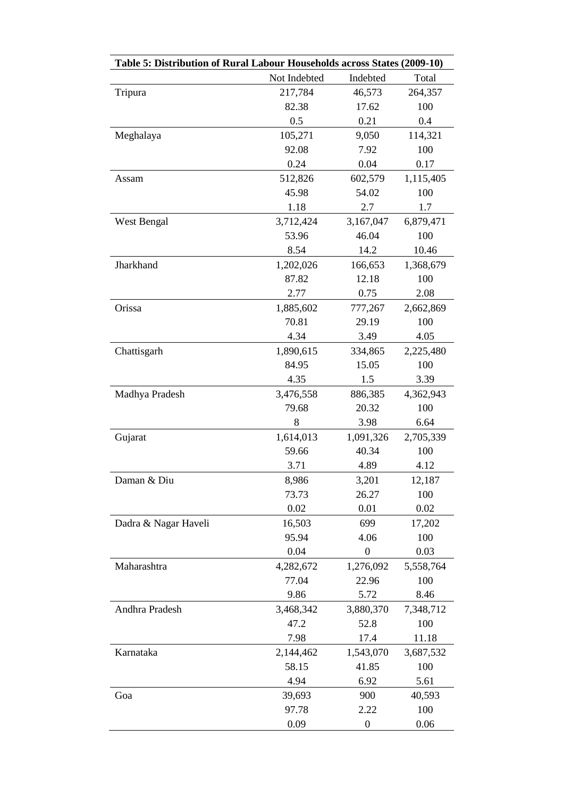| Table 5: Distribution of Rural Labour Households across States (2009-10) |              |                  |           |  |  |  |  |
|--------------------------------------------------------------------------|--------------|------------------|-----------|--|--|--|--|
|                                                                          | Not Indebted | Indebted         | Total     |  |  |  |  |
| Tripura                                                                  | 217,784      | 46,573           | 264,357   |  |  |  |  |
|                                                                          | 82.38        | 17.62            | 100       |  |  |  |  |
|                                                                          | 0.5          | 0.21             | 0.4       |  |  |  |  |
| Meghalaya                                                                | 105,271      | 9,050            | 114,321   |  |  |  |  |
|                                                                          | 92.08        | 7.92             | 100       |  |  |  |  |
|                                                                          | 0.24         | 0.04             | 0.17      |  |  |  |  |
| Assam                                                                    | 512,826      | 602,579          | 1,115,405 |  |  |  |  |
|                                                                          | 45.98        | 54.02            | 100       |  |  |  |  |
|                                                                          | 1.18         | 2.7              | 1.7       |  |  |  |  |
| West Bengal                                                              | 3,712,424    | 3,167,047        | 6,879,471 |  |  |  |  |
|                                                                          | 53.96        | 46.04            | 100       |  |  |  |  |
|                                                                          | 8.54         | 14.2             | 10.46     |  |  |  |  |
| Jharkhand                                                                | 1,202,026    | 166,653          | 1,368,679 |  |  |  |  |
|                                                                          | 87.82        | 12.18            | 100       |  |  |  |  |
|                                                                          | 2.77         | 0.75             | 2.08      |  |  |  |  |
| Orissa                                                                   | 1,885,602    | 777,267          | 2,662,869 |  |  |  |  |
|                                                                          | 70.81        | 29.19            | 100       |  |  |  |  |
|                                                                          | 4.34         | 3.49             | 4.05      |  |  |  |  |
| Chattisgarh                                                              | 1,890,615    | 334,865          | 2,225,480 |  |  |  |  |
|                                                                          | 84.95        | 15.05            | 100       |  |  |  |  |
|                                                                          | 4.35         | 1.5              | 3.39      |  |  |  |  |
| Madhya Pradesh                                                           | 3,476,558    | 886,385          | 4,362,943 |  |  |  |  |
|                                                                          | 79.68        | 20.32            | 100       |  |  |  |  |
|                                                                          | 8            | 3.98             | 6.64      |  |  |  |  |
| Gujarat                                                                  | 1,614,013    | 1,091,326        | 2,705,339 |  |  |  |  |
|                                                                          | 59.66        | 40.34            | 100       |  |  |  |  |
|                                                                          | 3.71         | 4.89             | 4.12      |  |  |  |  |
| Daman & Diu                                                              | 8,986        | 3,201            | 12,187    |  |  |  |  |
|                                                                          | 73.73        | 26.27            | 100       |  |  |  |  |
|                                                                          | 0.02         | 0.01             | 0.02      |  |  |  |  |
| Dadra & Nagar Haveli                                                     | 16,503       | 699              | 17,202    |  |  |  |  |
|                                                                          | 95.94        | 4.06             | 100       |  |  |  |  |
|                                                                          | 0.04         | $\boldsymbol{0}$ | 0.03      |  |  |  |  |
| Maharashtra                                                              | 4,282,672    | 1,276,092        | 5,558,764 |  |  |  |  |
|                                                                          | 77.04        | 22.96            | 100       |  |  |  |  |
|                                                                          | 9.86         | 5.72             | 8.46      |  |  |  |  |
| Andhra Pradesh                                                           | 3,468,342    | 3,880,370        | 7,348,712 |  |  |  |  |
|                                                                          | 47.2         | 52.8             | 100       |  |  |  |  |
|                                                                          | 7.98         | 17.4             | 11.18     |  |  |  |  |
| Karnataka                                                                | 2,144,462    | 1,543,070        | 3,687,532 |  |  |  |  |
|                                                                          | 58.15        | 41.85            | 100       |  |  |  |  |
|                                                                          | 4.94         | 6.92             | 5.61      |  |  |  |  |
| Goa                                                                      | 39,693       | 900              | 40,593    |  |  |  |  |
|                                                                          | 97.78        | 2.22             | 100       |  |  |  |  |
|                                                                          | 0.09         | $\boldsymbol{0}$ | 0.06      |  |  |  |  |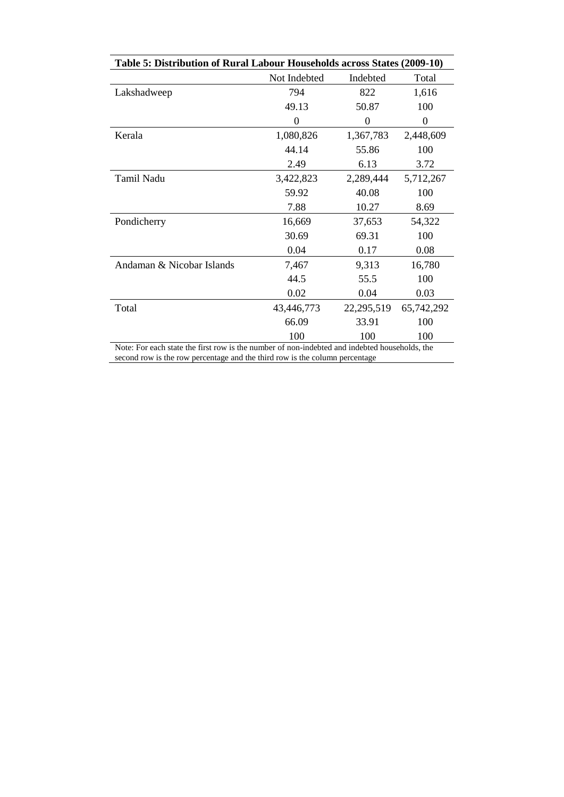| Table 5: Distribution of Rural Labour Households across States (2009-10)                      |              |            |            |  |  |  |  |
|-----------------------------------------------------------------------------------------------|--------------|------------|------------|--|--|--|--|
|                                                                                               | Not Indebted | Indebted   | Total      |  |  |  |  |
| Lakshadweep                                                                                   | 794          | 822        | 1,616      |  |  |  |  |
|                                                                                               | 49.13        | 50.87      | 100        |  |  |  |  |
|                                                                                               | $\theta$     | 0          | 0          |  |  |  |  |
| Kerala                                                                                        | 1,080,826    | 1,367,783  | 2,448,609  |  |  |  |  |
|                                                                                               | 44.14        | 55.86      | 100        |  |  |  |  |
|                                                                                               | 2.49         | 6.13       | 3.72       |  |  |  |  |
| Tamil Nadu                                                                                    | 3,422,823    | 2,289,444  | 5,712,267  |  |  |  |  |
|                                                                                               | 59.92        | 40.08      | 100        |  |  |  |  |
|                                                                                               | 7.88         | 10.27      | 8.69       |  |  |  |  |
| Pondicherry                                                                                   | 16,669       | 37,653     | 54,322     |  |  |  |  |
|                                                                                               | 30.69        | 69.31      | 100        |  |  |  |  |
|                                                                                               | 0.04         | 0.17       | 0.08       |  |  |  |  |
| Andaman & Nicobar Islands                                                                     | 7,467        | 9,313      | 16,780     |  |  |  |  |
|                                                                                               | 44.5         | 55.5       | 100        |  |  |  |  |
|                                                                                               | 0.02         | 0.04       | 0.03       |  |  |  |  |
| Total                                                                                         | 43,446,773   | 22,295,519 | 65,742,292 |  |  |  |  |
|                                                                                               | 66.09        | 33.91      | 100        |  |  |  |  |
|                                                                                               | 100          | 100        | 100        |  |  |  |  |
| Note: For each state the first row is the number of non-indebted and indebted households, the |              |            |            |  |  |  |  |
| second row is the row percentage and the third row is the column percentage                   |              |            |            |  |  |  |  |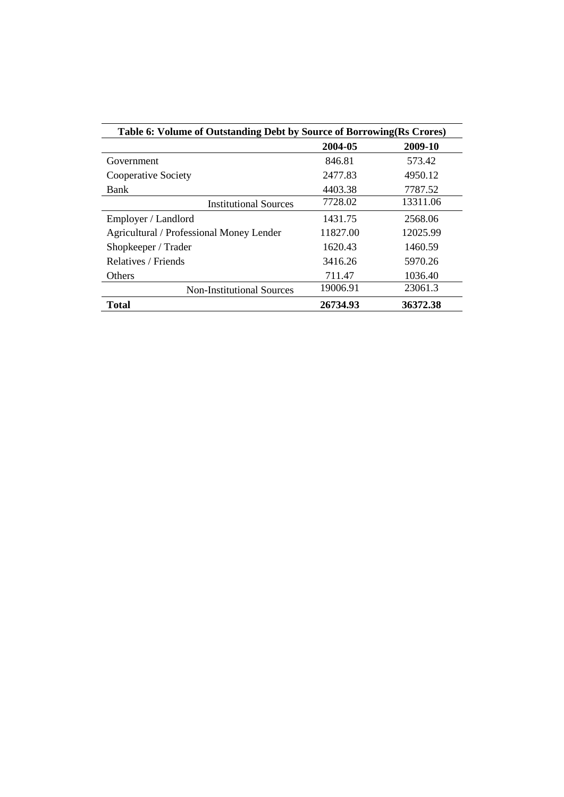| Table 6: Volume of Outstanding Debt by Source of Borrowing(Rs Crores) |          |          |  |  |  |  |
|-----------------------------------------------------------------------|----------|----------|--|--|--|--|
|                                                                       | 2004-05  | 2009-10  |  |  |  |  |
| Government                                                            | 846.81   | 573.42   |  |  |  |  |
| Cooperative Society                                                   | 2477.83  | 4950.12  |  |  |  |  |
| Bank                                                                  | 4403.38  | 7787.52  |  |  |  |  |
| <b>Institutional Sources</b>                                          | 7728.02  | 13311.06 |  |  |  |  |
| Employer / Landlord                                                   | 1431.75  | 2568.06  |  |  |  |  |
| Agricultural / Professional Money Lender                              | 11827.00 | 12025.99 |  |  |  |  |
| Shopkeeper / Trader                                                   | 1620.43  | 1460.59  |  |  |  |  |
| Relatives / Friends                                                   | 3416.26  | 5970.26  |  |  |  |  |
| <b>Others</b>                                                         | 711.47   | 1036.40  |  |  |  |  |
| <b>Non-Institutional Sources</b>                                      | 19006.91 | 23061.3  |  |  |  |  |
| <b>Total</b>                                                          | 26734.93 | 36372.38 |  |  |  |  |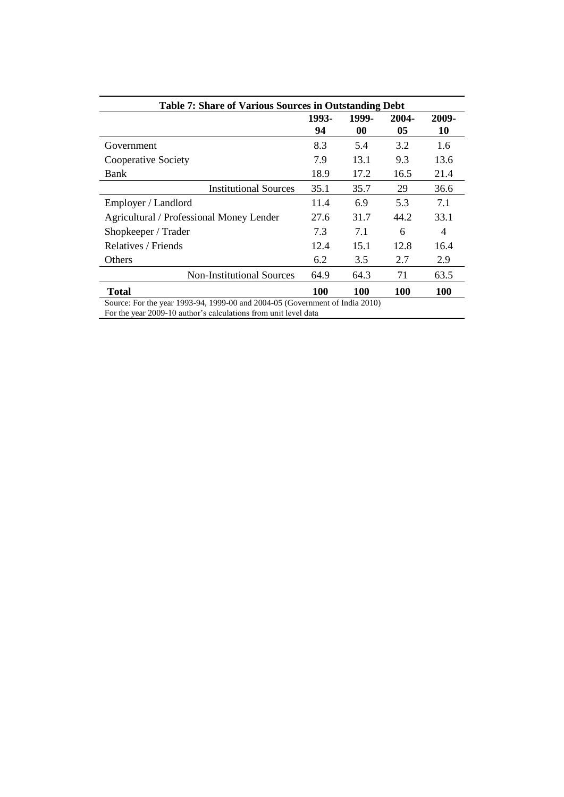| <b>Table 7: Share of Various Sources in Outstanding Debt</b>                 |             |                    |             |                |  |  |  |
|------------------------------------------------------------------------------|-------------|--------------------|-------------|----------------|--|--|--|
|                                                                              | 1993-<br>94 | 1999-<br>$\bf{00}$ | 2004-<br>05 | 2009-<br>10    |  |  |  |
| Government                                                                   | 8.3         | 5.4                | 3.2         | 1.6            |  |  |  |
| Cooperative Society                                                          | 7.9         | 13.1               | 9.3         | 13.6           |  |  |  |
| Bank                                                                         | 18.9        | 17.2               | 16.5        | 21.4           |  |  |  |
| <b>Institutional Sources</b>                                                 | 35.1        | 35.7               | 29          | 36.6           |  |  |  |
| Employer / Landlord                                                          | 11.4        | 6.9                | 5.3         | 7.1            |  |  |  |
| Agricultural / Professional Money Lender                                     | 27.6        | 31.7               | 44.2        | 33.1           |  |  |  |
| Shopkeeper / Trader                                                          | 7.3         | 7.1                | 6           | $\overline{4}$ |  |  |  |
| Relatives / Friends                                                          | 12.4        | 15.1               | 12.8        | 16.4           |  |  |  |
| Others                                                                       | 6.2         | 3.5                | 2.7         | 2.9            |  |  |  |
| <b>Non-Institutional Sources</b>                                             | 64.9        | 64.3               | 71          | 63.5           |  |  |  |
| <b>Total</b>                                                                 | 100         | 100                | 100         | 100            |  |  |  |
| Source: For the year 1993-94, 1999-00 and 2004-05 (Government of India 2010) |             |                    |             |                |  |  |  |

For the year 2009-10 author's calculations from unit level data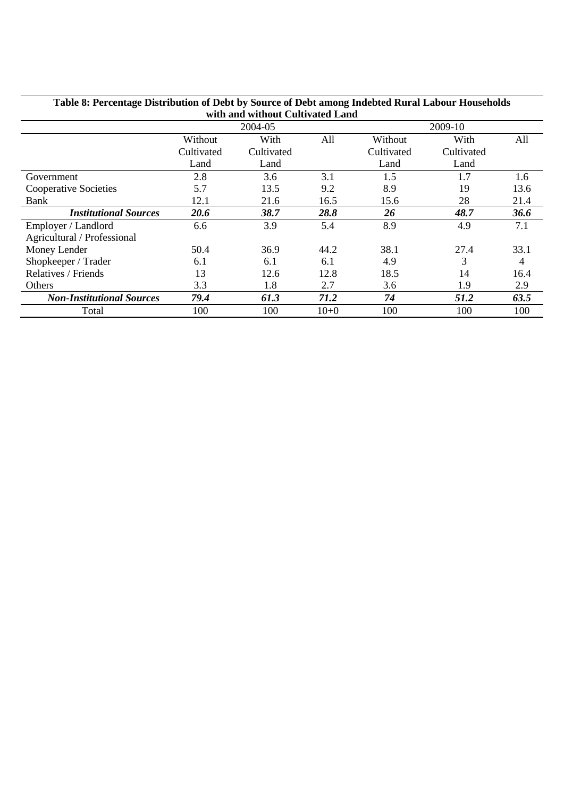| Table 6. I creditage Distribution of Debt by Source of Debt among intebleu Kural Labour Households<br>with and without Cultivated Land |            |            |          |            |            |      |  |  |
|----------------------------------------------------------------------------------------------------------------------------------------|------------|------------|----------|------------|------------|------|--|--|
|                                                                                                                                        |            | 2004-05    |          | 2009-10    |            |      |  |  |
|                                                                                                                                        | Without    | With       | All      | Without    | With       | All  |  |  |
|                                                                                                                                        | Cultivated | Cultivated |          | Cultivated | Cultivated |      |  |  |
|                                                                                                                                        | Land       | Land       |          | Land       | Land       |      |  |  |
| Government                                                                                                                             | 2.8        | 3.6        | 3.1      | 1.5        | 1.7        | 1.6  |  |  |
| Cooperative Societies                                                                                                                  | 5.7        | 13.5       | 9.2      | 8.9        | 19         | 13.6 |  |  |
| Bank                                                                                                                                   | 12.1       | 21.6       | 16.5     | 15.6       | 28         | 21.4 |  |  |
| <b>Institutional Sources</b>                                                                                                           | 20.6       | 38.7       | 28.8     | 26         | 48.7       | 36.6 |  |  |
| Employer / Landlord                                                                                                                    | 6.6        | 3.9        | 5.4      | 8.9        | 4.9        | 7.1  |  |  |
| Agricultural / Professional                                                                                                            |            |            |          |            |            |      |  |  |
| Money Lender                                                                                                                           | 50.4       | 36.9       | 44.2     | 38.1       | 27.4       | 33.1 |  |  |
| Shopkeeper / Trader                                                                                                                    | 6.1        | 6.1        | 6.1      | 4.9        | 3          | 4    |  |  |
| Relatives / Friends                                                                                                                    | 13         | 12.6       | 12.8     | 18.5       | 14         | 16.4 |  |  |
| Others                                                                                                                                 | 3.3        | 1.8        | 2.7      | 3.6        | 1.9        | 2.9  |  |  |
| <b>Non-Institutional Sources</b>                                                                                                       | 79.4       | 61.3       | 71.2     | 74         | 51.2       | 63.5 |  |  |
| Total                                                                                                                                  | 100        | 100        | $10 + 0$ | 100        | 100        | 100  |  |  |

# **Table 8: Percentage Distribution of Debt by Source of Debt among Indebted Rural Labour Households**